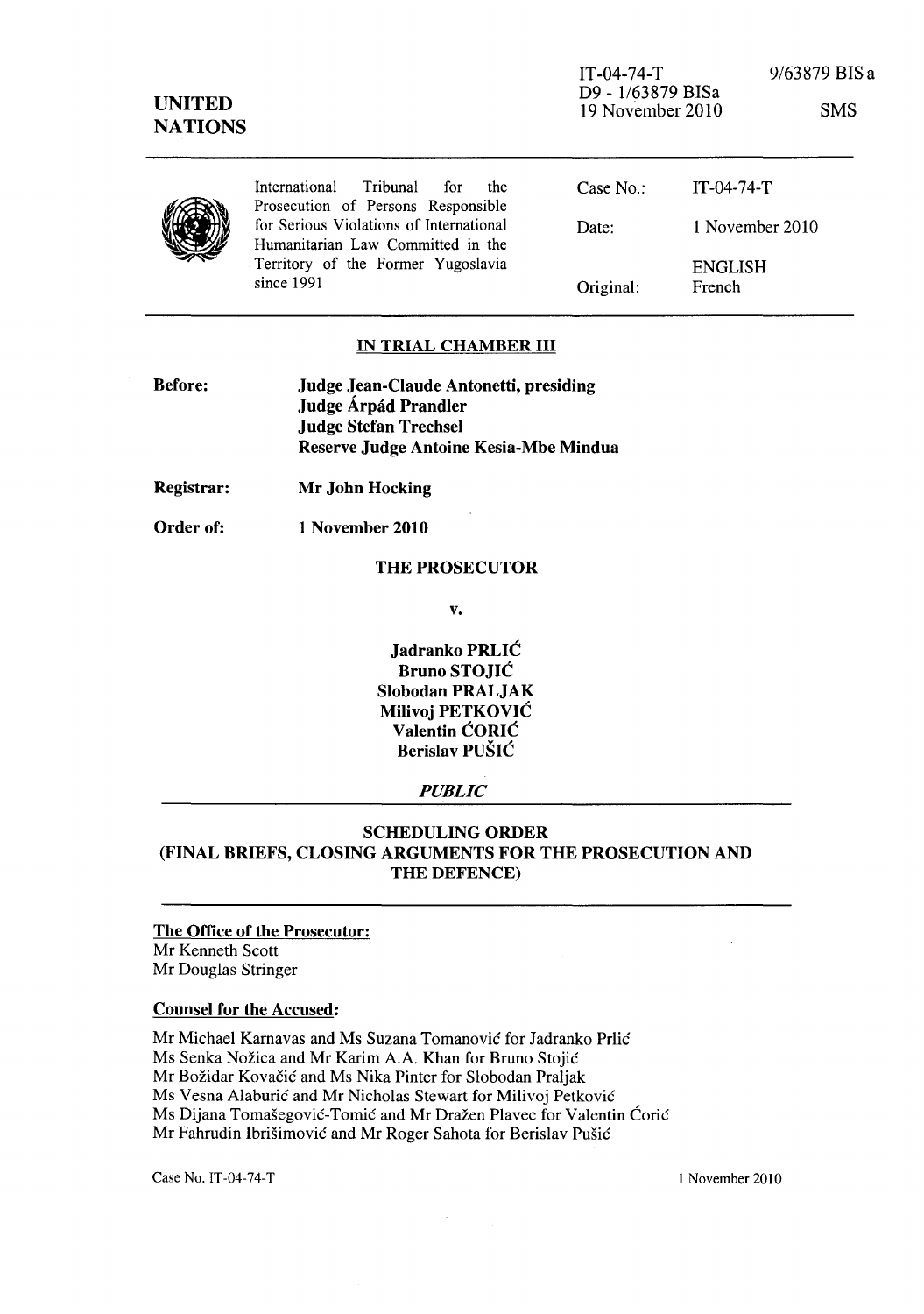IT-04-74-T D9 - 1/63879 BISa 19 November 2010 9/63879 BIS a

SMS

|  | International Tribunal for<br>the                                             | Case No.: | $IT-04-74-T$             |
|--|-------------------------------------------------------------------------------|-----------|--------------------------|
|  | Prosecution of Persons Responsible<br>for Serious Violations of International | Date:     | 1 November 2010          |
|  | Humanitarian Law Committed in the                                             |           |                          |
|  | Territory of the Former Yugoslavia<br>since 1991                              | Original: | <b>ENGLISH</b><br>French |
|  |                                                                               |           |                          |

# IN TRIAL CHAMBER III

| <b>Before:</b> | <b>Judge Jean-Claude Antonetti, presiding</b> |  |  |
|----------------|-----------------------------------------------|--|--|
|                | Judge Árpád Prandler                          |  |  |
|                | <b>Judge Stefan Trechsel</b>                  |  |  |
|                | Reserve Judge Antoine Kesia-Mbe Mindua        |  |  |

Registrar: Mr John Hocking

Order of: 1 November 2010

## THE PROSECUTOR

v.

Jadranko PRLIC Bruno STOJIC Slobodan PRALJAK Milivoj PETKOVIC Valentin CORIC Berislav PUSIC

#### *PUBLIC*

# SCHEDULING ORDER (FINAL BRIEFS, CLOSING ARGUMENTS FOR THE PROSECUTION AND THE DEFENCE)

The Office of the Prosecutor: Mr Kenneth Scott Mr Douglas Stringer

# Counsel for the Accused:

Mr Michael Karnavas and Ms Suzana Tomanovic for Iadranko Prlic Ms Senka Nožica and Mr Karim A.A. Khan for Bruno Stojić Mr Božidar Kovačić and Ms Nika Pinter for Slobodan Praljak Ms Vesna Alaburić and Mr Nicholas Stewart for Milivoj Petković Ms Dijana Tomašegović-Tomić and Mr Dražen Plavec for Valentin Ćorić Mr Fahrudin Ibrišimović and Mr Roger Sahota for Berislav Pušić

Case No. IT-04-74-T 1 November 2010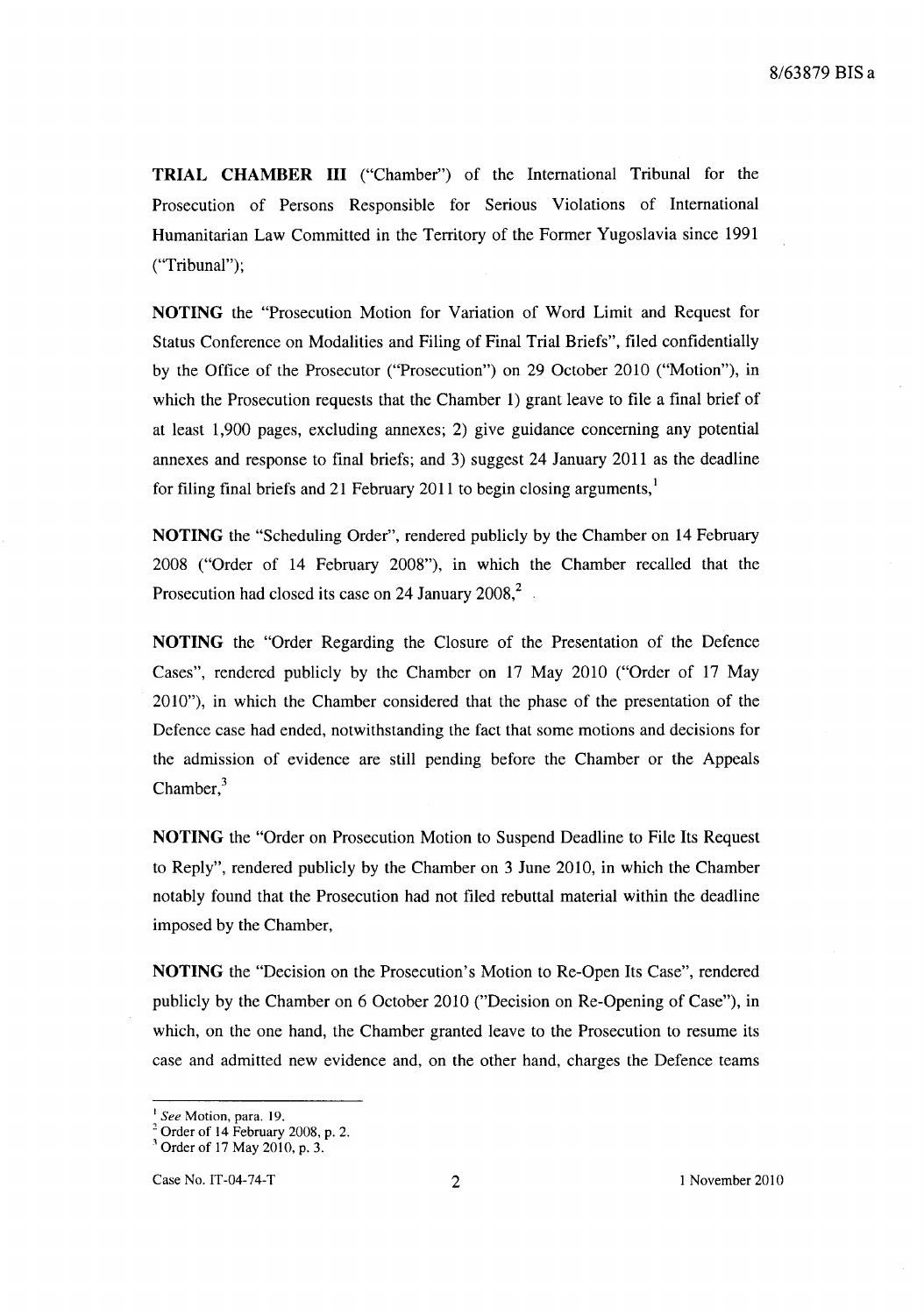**TRIAL CHAMBER III** ("Chamber") of the International Tribunal for the Prosecution of Persons Responsible for Serious Violations of International Humanitarian Law Committed in the Territory of the Former Yugoslavia since 1991 ("Tribunal");

**NOTING** the "Prosecution Motion for Variation of Word Limit and Request for Status Conference on Modalities and Filing of Final Trial Briefs", filed confidentially by the Office of the Prosecutor ("Prosecution") on 29 October 2010 ("Motion"), in which the Prosecution requests that the Chamber 1) grant leave to file a final brief of at least 1,900 pages, excluding annexes; 2) give guidance concerning any potential annexes and response to final briefs; and 3) suggest 24 January 2011 as the deadline for filing final briefs and 21 February 2011 to begin closing arguments,<sup>1</sup>

**NOTING** the "Scheduling Order", rendered publicly by the Chamber on 14 February 2008 ("Order of 14 February 2008"), in which the Chamber recalled that the Prosecution had closed its case on 24 January  $2008$ <sup>2</sup>.

**NOTING** the "Order Regarding the Closure of the Presentation of the Defence Cases", rendered publicly by the Chamber on 17 May 2010 ("Order of 17 May 2010"), in which the Chamber considered that the phase of the presentation of the Defence case had ended, notwithstanding the fact that some motions and decisions for the admission of evidence are still pending before the Chamber or the Appeals Chamber, $3$ 

**NOTING** the "Order on Prosecution Motion to Suspend Deadline to File Its Request to Reply", rendered publicly by the Chamber on 3 June 2010, in which the Chamber notably found that the Prosecution had not filed rebuttal material within the deadline imposed by the Chamber,

**NOTING** the "Decision on the Prosecution's Motion to Re-Open Its Case", rendered publicly by the Chamber on 6 October 2010 ("Decision on Re-Opening of Case"), in which, on the one hand, the Chamber granted leave to the Prosecution to resume its case and admitted new evidence and, on the other hand, charges the Defence teams

<sup>I</sup>*See* Motion, para. 19.

 $2^{\circ}$  Order of 14 February 2008, p. 2.

 $3$  Order of 17 May 2010, p. 3.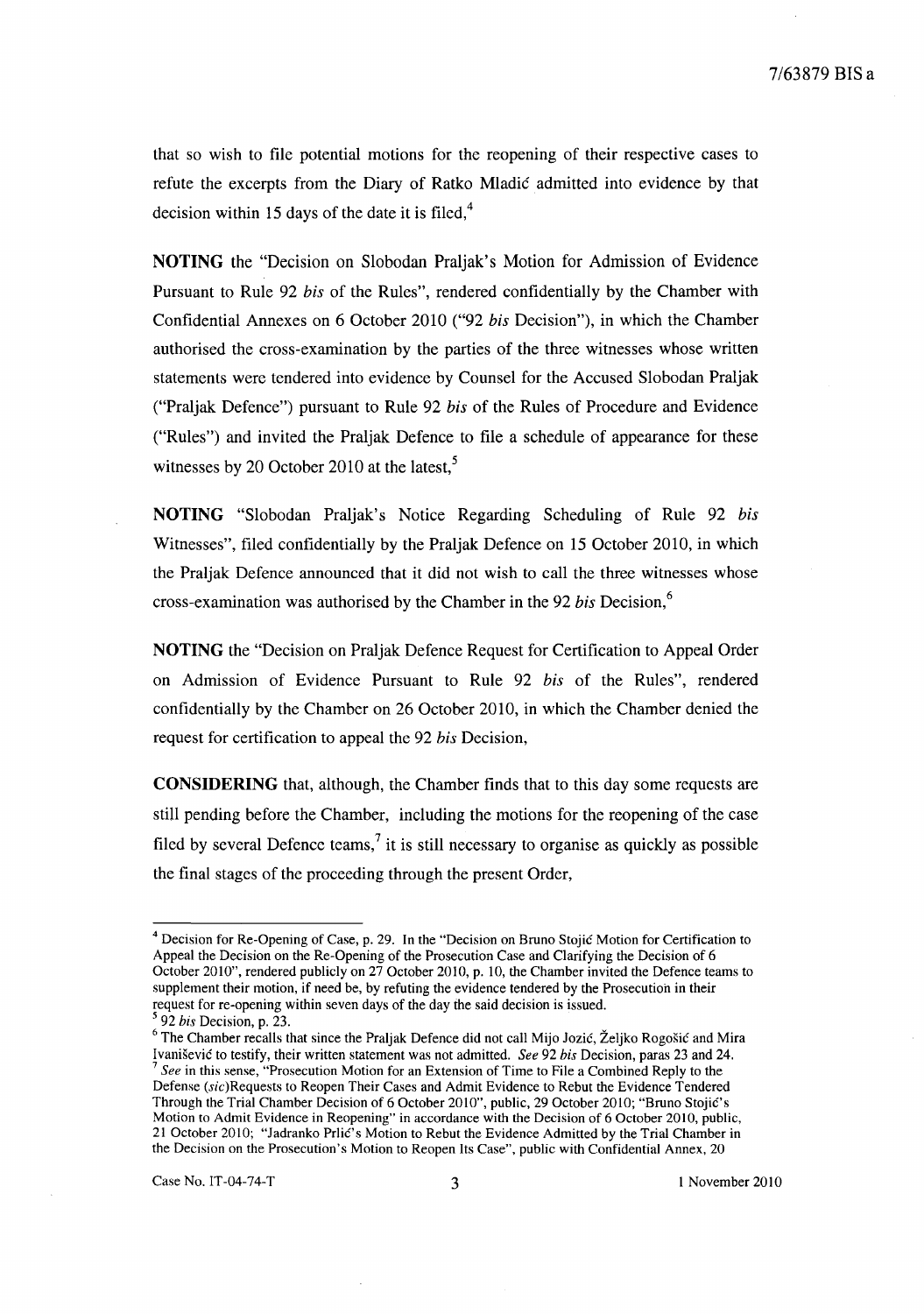that so wish to file potential motions for the reopening of their respective cases to refute the excerpts from the Diary of Ratko Mladic admitted into evidence by that decision within 15 days of the date it is filed, $4$ 

**NOTING** the "Decision on Slobodan Praljak's Motion for Admission of Evidence Pursuant to Rule 92 *his* of the Rules", rendered confidentially by the Chamber with Confidential Annexes on 6 October 2010 ("92 *his* Decision"), in which the Chamber authorised the cross-examination by the parties of the three witnesses whose written statements were tendered into evidence by Counsel for the Accused Slobodan Praljak ("Praljak Defence") pursuant to Rule 92 *his* of the Rules of Procedure and Evidence ("Rules") and invited the Praljak Defence to file a schedule of appearance for these witnesses by 20 October 2010 at the latest, $5$ 

**NOTING** "Slobodan Praljak's Notice Regarding Scheduling of Rule 92 *his*  Witnesses", filed confidentially by the Praljak Defence on 15 October 2010, in which the Praljak Defence announced that it did not wish to call the three witnesses whose cross-examination was authorised by the Chamber in the 92 *his* Decision,<sup>6</sup>

**NOTING** the "Decision on Praljak Defence Request for Certification to Appeal Order on Admission of Evidence Pursuant to Rule 92 *his* of the Rules", rendered confidentially by the Chamber on 26 October 2010, in which the Chamber denied the request for certification to appeal the 92 *his* Decision,

**CONSIDERING** that, although, the Chamber finds that to this day some requests are still pending before the Chamber, including the motions for the reopening of the case filed by several Defence teams,<sup>7</sup> it is still necessary to organise as quickly as possible the final stages of the proceeding through the present Order,

<sup>4</sup> Decision for Re-Opening of Case, p. 29. In the "Decision on Bruno Stojic Motion for Certification to Appeal the Decision on the Re-Opening of the Prosecution Case and Clarifying the Decision of 6 October 2010", rendered publicly on 27 October 2010, p. 10, the Chamber invited the Defence teams to supplement their motion, if need be, by refuting the evidence tendered by the Prosecution in their request for re-opening within seven days of the day the said decision is issued.

<sup>5 92</sup> *his* Decision, p. 23.

<sup>&</sup>lt;sup>6</sup> The Chamber recalls that since the Praljak Defence did not call Mijo Jozić, Željko Rogošić and Mira Ivanisevic to testify, their written statement was not admitted. *See* 92 *his* Decision, paras 23 and 24. <sup>7</sup>*See* in this sense, "Prosecution Motion for an Extension of Time to File a Combined Reply to the Defense (sic)Requests to Reopen Their Cases and Admit Evidence to Rebut the Evidence Tendered Through the Trial Chamber Decision of 6 October 2010", public, 29 October 2010; "Bruno Stojic's Motion to Admit Evidence in Reopening" in accordance with the Decision of 6 October 2010, public, 21 October 2010; "Jadranko Prlic's Motion to Rebut the Evidence Admitted by the Trial Chamber in the Decision on the Prosecution's Motion to Reopen Its Case", public with Confidential Annex, 20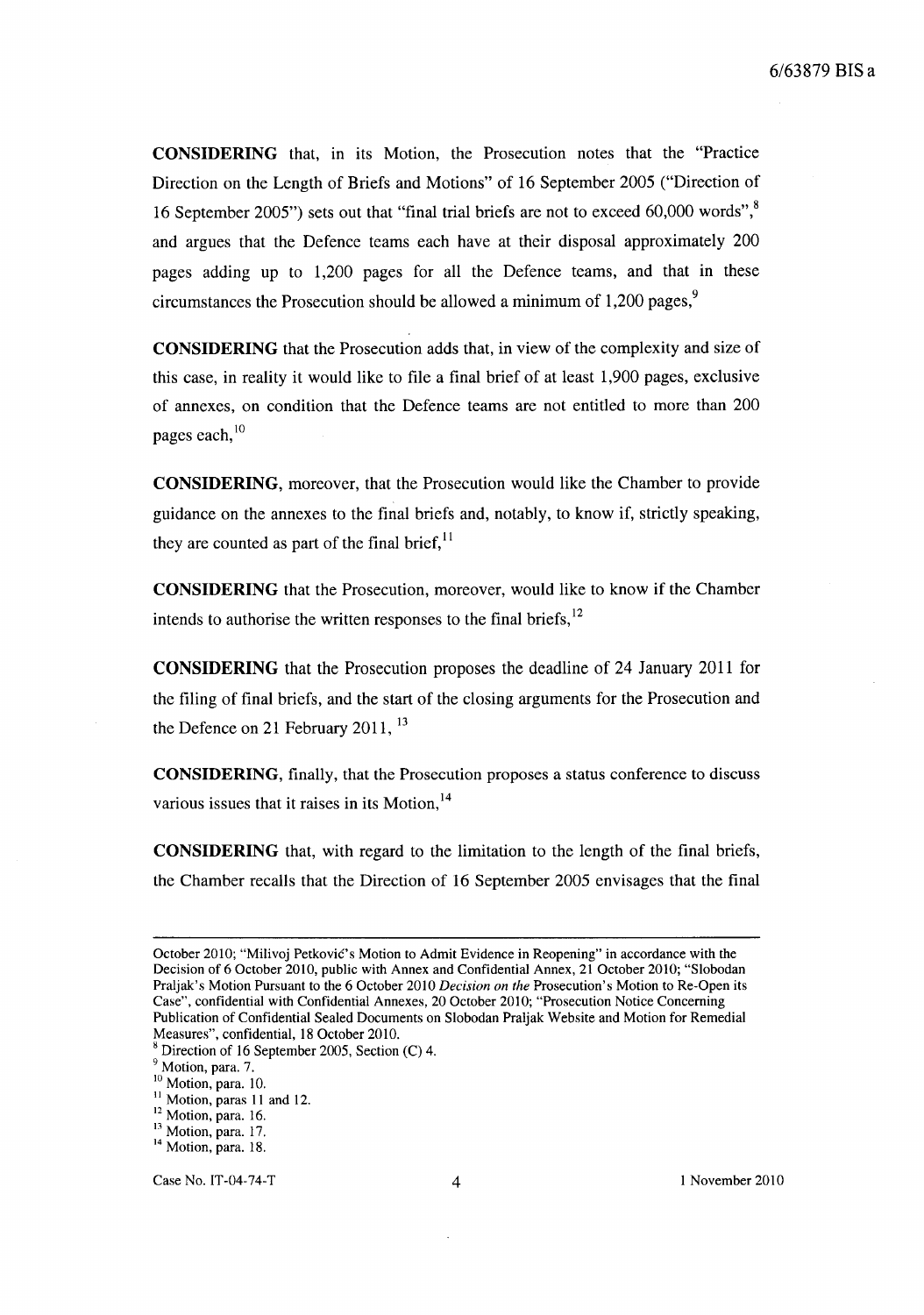**CONSIDERING** that, in its Motion, the Prosecution notes that the "Practice Direction on the Length of Briefs and Motions" of 16 September 2005 ("Direction of 16 September 2005") sets out that "final trial briefs are not to exceed 60,000 words",<sup>8</sup> and argues that the Defence teams each have at their disposal approximately 200 pages adding up to 1,200 pages for all the Defence teams, and that in these circumstances the Prosecution should be allowed a minimum of  $1,200$  pages,<sup>9</sup>

**CONSIDERING** that the Prosecution adds that, in view of the complexity and size of this case, in reality it would like to file a final brief of at least 1,900 pages, exclusive of annexes, on condition that the Defence teams are not entitled to more than 200 pages each, $\frac{10}{2}$ 

**CONSIDERING,** moreover, that the Prosecution would like the Chamber to provide guidance on the annexes to the final briefs and, notably, to know if, strictly speaking, they are counted as part of the final brief,  $11$ 

**CONSIDERING** that the Prosecution, moreover, would like to know if the Chamber intends to authorise the written responses to the final briefs,  $12$ 

**CONSIDERING** that the Prosecution proposes the deadline of 24 January 2011 for the filing of final briefs, and the start of the closing arguments for the Prosecution and the Defence on 21 February 2011, <sup>13</sup>

**CONSIDERING,** finally, that the Prosecution proposes a status conference to discuss various issues that it raises in its Motion,  $14$ 

**CONSIDERING** that, with regard to the limitation to the length of the final briefs, the Chamber recalls that the Direction of 16 September 2005 envisages that the final

October 2010; "Milivoj Petković's Motion to Admit Evidence in Reopening" in accordance with the Decision of 6 October 2010, public with Annex and Confidential Annex, 21 October 2010; "Slobodan Praljak's Motion Pursuant to the 6 October 2010 *Decision on the* Prosecution's Motion to Re-Open its Case", confidential with Confidential Annexes, 20 October 2010; "Prosecution Notice Concerning Publication of Confidential Sealed Documents on Slobodan Praljak Website and Motion for Remedial Measures", confidential, 18 October 2010.

 $8$  Direction of 16 September 2005, Section (C) 4.

<sup>&</sup>lt;sup>9</sup> Motion, para. 7.

<sup>&</sup>lt;sup>10</sup> Motion, para. 10.

<sup>&</sup>lt;sup>11</sup> Motion, paras 11 and 12.

<sup>&</sup>lt;sup>12</sup> Motion, para. 16.

<sup>&</sup>lt;sup>13</sup> Motion, para. 17.

<sup>&</sup>lt;sup>14</sup> Motion, para. 18.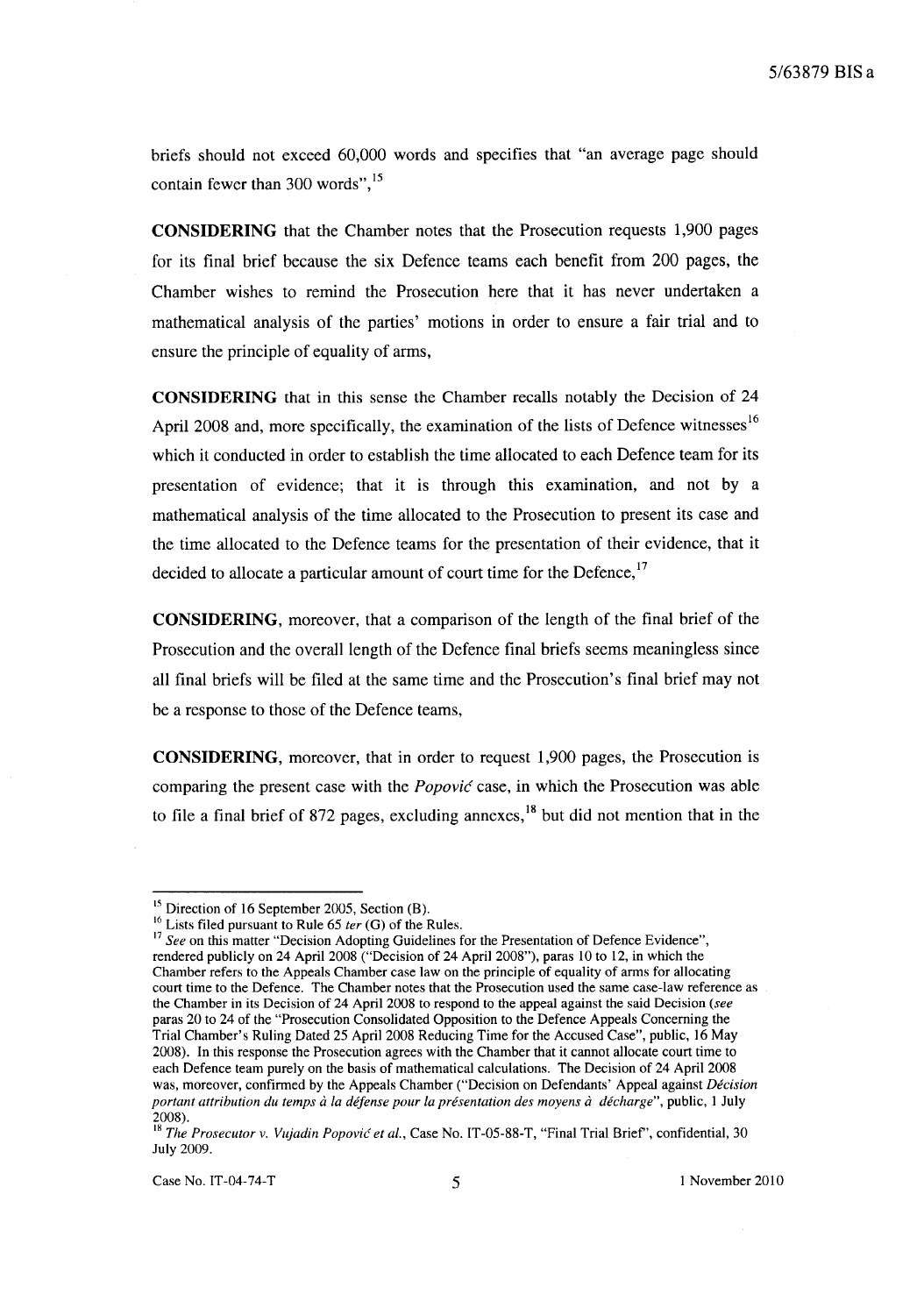briefs should not exceed 60,000 words and specifies that "an average page should contain fewer than 300 words",<sup>15</sup>

**CONSIDERING** that the Chamber notes that the Prosecution requests 1,900 pages for its final brief because the six Defence teams each benefit from 200 pages, the Chamber wishes to remind the Prosecution here that it has never undertaken a mathematical analysis of the parties' motions in order to ensure a fair trial and to ensure the principle of equality of arms,

**CONSIDERING** that in this sense the Chamber recalls notably the Decision of 24 April 2008 and, more specifically, the examination of the lists of Defence witnesses<sup>16</sup> which it conducted in order to establish the time allocated to each Defence team for its presentation of evidence; that it is through this examination, and not by a mathematical analysis of the time allocated to the Prosecution to present its case and the time allocated to the Defence teams for the presentation of their evidence, that it decided to allocate a particular amount of court time for the Defence,  $17$ 

**CONSIDERING,** moreover, that a comparison of the length of the final brief of the Prosecution and the overall length of the Defence final briefs seems meaningless since all final briefs will be filed at the same time and the Prosecution's final brief may not be a response to those of the Defence teams,

**CONSIDERING,** moreover, that in order to request 1,900 pages, the Prosecution is comparing the present case with the *Popovic* case, in which the Prosecution was able to file a final brief of 872 pages, excluding annexes, $18$  but did not mention that in the

<sup>&</sup>lt;sup>15</sup> Direction of 16 September 2005, Section (B).

<sup>16</sup> Lists filed pursuant to Rule 65 *ter* (G) of the Rules.

<sup>&</sup>lt;sup>17</sup> See on this matter "Decision Adopting Guidelines for the Presentation of Defence Evidence", rendered publicly on 24 April 2008 ("Decision of 24 April 2008"), paras 10 to 12, in which the Chamber refers to the Appeals Chamber case law on the principle of equality of arms for allocating court time to the Defence. The Chamber notes that the Prosecution used the same case-law reference as the Chamber in its Decision of 24 April 2008 to respond to the appeal against the said Decision *(see*  paras 20 to 24 of the "Prosecution Consolidated Opposition to the Defence Appeals Concerning the Trial Chamber's Ruling Dated 25 April 2008 Reducing Time for the Accused Case", public, 16 May 2008). In this response the Prosecution agrees with the Chamber that it cannot allocate court time to each Defence team purely on the basis of mathematical calculations. The Decision of 24 April 2008 was, moreover, confirmed by the Appeals Chamber ("Decision on Defendants' Appeal against *Decision portant attribution du temps à la défense pour la présentation des moyens à décharge"*, public, 1 July 2008).

<sup>&</sup>lt;sup>18</sup> The Prosecutor v. Vujadin Popović et al., Case No. IT-05-88-T, "Final Trial Brief", confidential, 30 July 2009.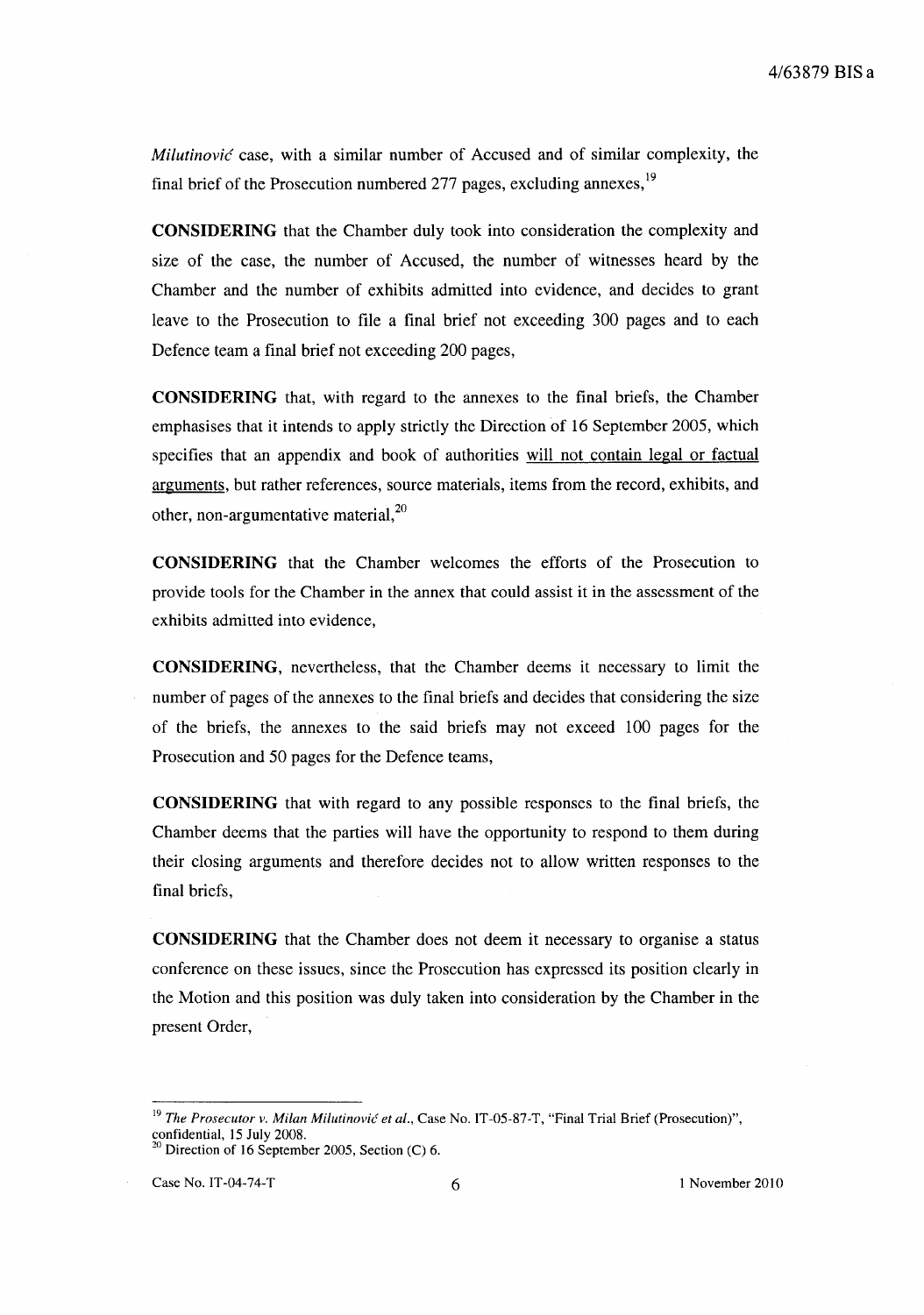*Milutinovic* case, with a similar number of Accused and of similar complexity, the final brief of the Prosecution numbered 277 pages, excluding annexes,<sup>19</sup>

**CONSIDERING** that the Chamber duly took into consideration the complexity and size of the case, the number of Accused, the number of witnesses heard by the Chamber and the number of exhibits admitted into evidence, and decides to grant leave to the Prosecution to file a final brief not exceeding 300 pages and to each Defence team a final brief not exceeding 200 pages,

**CONSIDERING** that, with regard to the annexes to the final briefs, the Chamber emphasises that it intends to apply strictly the Direction of 16 September 2005, which specifies that an appendix and book of authorities will not contain legal or factual arguments, but rather references, source materials, items from the record, exhibits, and other, non-argumentative material, $^{20}$ 

**CONSIDERING** that the Chamber welcomes the efforts of the Prosecution to provide tools for the Chamber in the annex that could assist it in the assessment of the exhibits admitted into evidence,

**CONSIDERING,** nevertheless, that the Chamber deems it necessary to limit the number of pages of the annexes to the final briefs and decides that considering the size of the briefs, the annexes to the said briefs may not exceed 100 pages for the Prosecution and 50 pages for the Defence teams,

**CONSIDERING** that with regard to any possible responses to the final briefs, the Chamber deems that the parties will have the opportunity to respond to them during their closing arguments and therefore decides not to allow written responses to the final briefs,

**CONSIDERING** that the Chamber does not deem it necessary to organise a status conference on these issues, since the Prosecution has expressed its position clearly in the Motion and this position was duly taken into consideration by the Chamber in the present Order,

<sup>&</sup>lt;sup>19</sup> The Prosecutor v. Milan Milutinović et al., Case No. IT-05-87-T, "Final Trial Brief (Prosecution)", confidential, 15 July 2008.

<sup>&</sup>lt;sup>20</sup> Direction of 16 September 2005, Section (C) 6.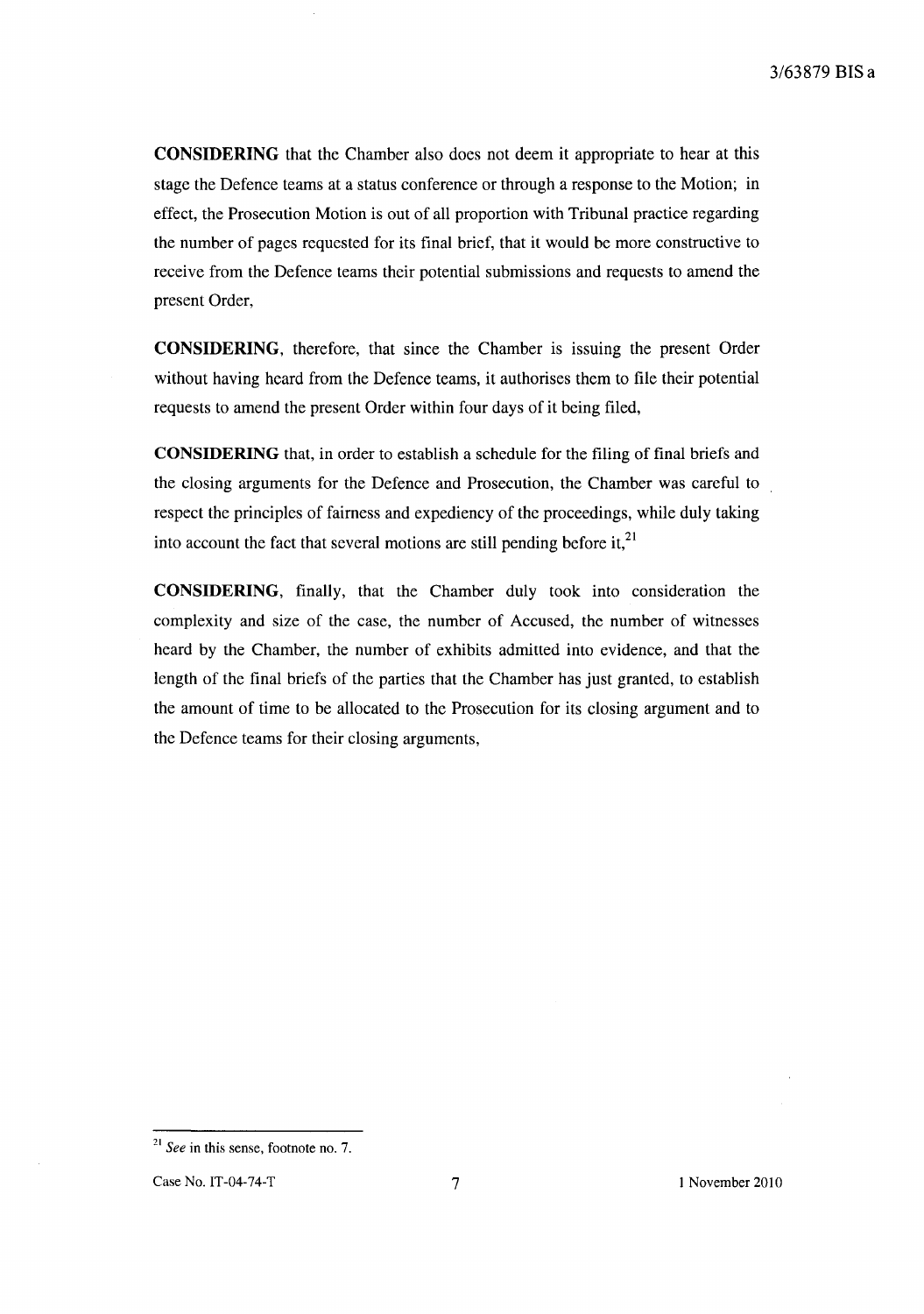**CONSIDERING** that the Chamber also does not deem it appropriate to hear at this stage the Defence teams at a status conference or through a response to the Motion; in effect, the Prosecution Motion is out of all proportion with Tribunal practice regarding the number of pages requested for its final brief, that it would be more constructive to receive from the Defence teams their potential submissions and requests to amend the present Order,

**CONSIDERING,** therefore, that since the Chamber is issuing the present Order without having heard from the Defence teams, it authorises them to file their potential requests to amend the present Order within four days of it being filed,

**CONSIDERING** that, in order to establish a schedule for the filing of final briefs and the closing arguments for the Defence and Prosecution, the Chamber was careful to respect the principles of fairness and expediency of the proceedings, while duly taking into account the fact that several motions are still pending before it, $^{21}$ 

**CONSIDERING,** finally, that the Chamber duly took into consideration the complexity and size of the case, the number of Accused, the number of witnesses heard by the Chamber, the number of exhibits admitted into evidence, and that the length of the final briefs of the parties that the Chamber has just granted, to establish the amount of time to be allocated to the Prosecution for its closing argument and to the Defence teams for their closing arguments,

<sup>21</sup>*See* in this sense, footnote no. 7.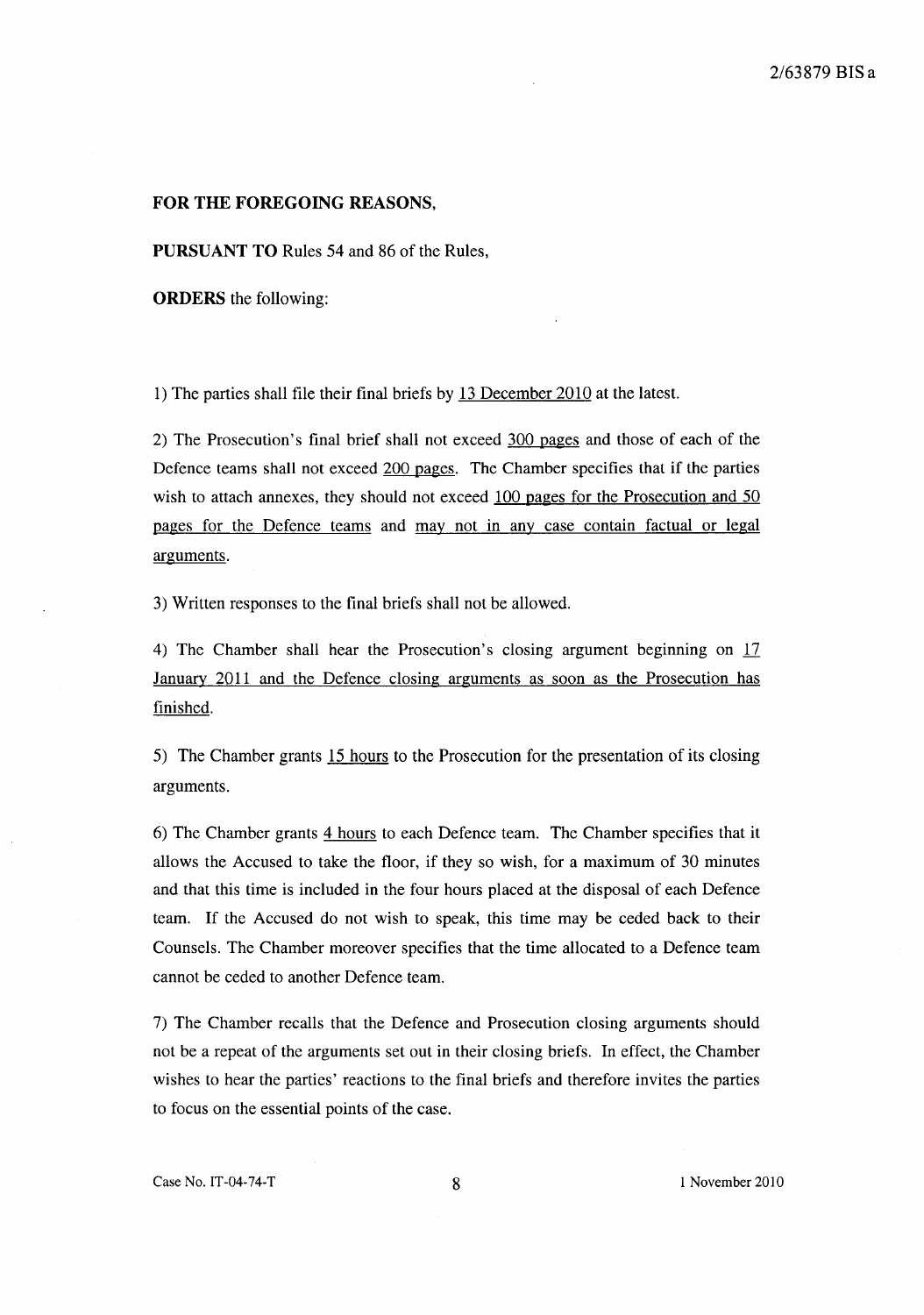#### **FOR THE FOREGOING** REASONS,

**PURSUANT TO** Rules 54 and 86 of the Rules,

**ORDERS** the following:

1) The parties shall file their final briefs by 13 December 2010 at the latest.

2) The Prosecution's final brief shall not exceed 300 pages and those of each of the Defence teams shall not exceed 200 pages. The Chamber specifies that if the parties wish to attach annexes, they should not exceed 100 pages for the Prosecution and 50 pages for the Defence teams and may not in any case contain factual or legal arguments.

3) Written responses to the final briefs shall not be allowed.

4) The Chamber shall hear the Prosecution's closing argument beginning on 17 January 2011 and the Defence closing arguments as soon as the Prosecution has finished.

5) The Chamber grants 15 hours to the Prosecution for the presentation of its closing arguments.

6) The Chamber grants 4 hours to each Defence team. The Chamber specifies that it allows the Accused to take the floor, if they so wish, for a maximum of 30 minutes and that this time is included in the four hours placed at the disposal of each Defence team. If the Accused do not wish to speak, this time may be ceded back to their Counsels. The Chamber moreover specifies that the time allocated to a Defence team cannot be ceded to another Defence team.

7) The Chamber recalls that the Defence and Prosecution closing arguments should not be a repeat of the arguments set out in their closing briefs. In effect, the Chamber wishes to hear the parties' reactions to the final briefs and therefore invites the parties to focus on the essential points of the case.